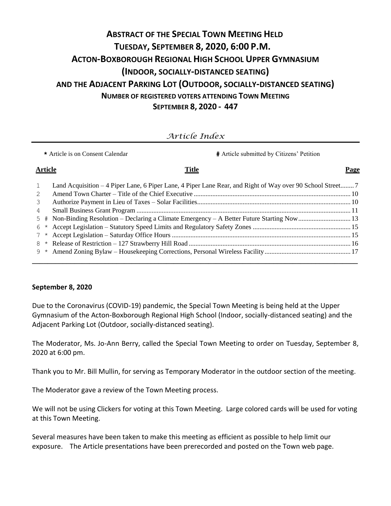# **ABSTRACT OF THE SPECIAL TOWN MEETING HELD TUESDAY, SEPTEMBER 8, 2020, 6:00 P.M. ACTON-BOXBOROUGH REGIONAL HIGH SCHOOL UPPER GYMNASIUM (INDOOR, SOCIALLY-DISTANCED SEATING) AND THE ADJACENT PARKING LOT (OUTDOOR, SOCIALLY-DISTANCED SEATING) NUMBER OF REGISTERED VOTERS ATTENDING TOWN MEETING SEPTEMBER 8, 2020 - 447**

# *Article Index*

|                | <b>#</b> Article submitted by Citizens' Petition<br>* Article is on Consent Calendar                       |      |
|----------------|------------------------------------------------------------------------------------------------------------|------|
| <b>Article</b> | <b>Title</b>                                                                                               | Page |
|                | Land Acquisition – 4 Piper Lane, 6 Piper Lane, 4 Piper Lane Rear, and Right of Way over 90 School Street 7 |      |
|                |                                                                                                            |      |
| 3              |                                                                                                            |      |
| 4              |                                                                                                            |      |
| 5              |                                                                                                            |      |
| 6              |                                                                                                            |      |
|                |                                                                                                            |      |
| 8              |                                                                                                            |      |
| 9              |                                                                                                            |      |
|                |                                                                                                            |      |

#### **September 8, 2020**

Due to the Coronavirus (COVID-19) pandemic, the Special Town Meeting is being held at the Upper Gymnasium of the Acton-Boxborough Regional High School (Indoor, socially-distanced seating) and the Adjacent Parking Lot (Outdoor, socially-distanced seating).

The Moderator, Ms. Jo-Ann Berry, called the Special Town Meeting to order on Tuesday, September 8, 2020 at 6:00 pm.

Thank you to Mr. Bill Mullin, for serving as Temporary Moderator in the outdoor section of the meeting.

The Moderator gave a review of the Town Meeting process.

We will not be using Clickers for voting at this Town Meeting. Large colored cards will be used for voting at this Town Meeting.

Several measures have been taken to make this meeting as efficient as possible to help limit our exposure. The Article presentations have been prerecorded and posted on the Town web page.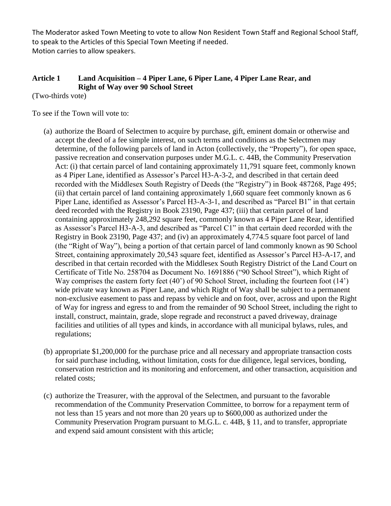The Moderator asked Town Meeting to vote to allow Non Resident Town Staff and Regional School Staff, to speak to the Articles of this Special Town Meeting if needed. Motion carries to allow speakers.

# **Article 1 Land Acquisition – 4 Piper Lane, 6 Piper Lane, 4 Piper Lane Rear, and Right of Way over 90 School Street**

(Two-thirds vote)

To see if the Town will vote to:

- (a) authorize the Board of Selectmen to acquire by purchase, gift, eminent domain or otherwise and accept the deed of a fee simple interest, on such terms and conditions as the Selectmen may determine, of the following parcels of land in Acton (collectively, the "Property"), for open space, passive recreation and conservation purposes under M.G.L. c. 44B, the Community Preservation Act: (i) that certain parcel of land containing approximately 11,791 square feet, commonly known as 4 Piper Lane, identified as Assessor's Parcel H3-A-3-2, and described in that certain deed recorded with the Middlesex South Registry of Deeds (the "Registry") in Book 487268, Page 495; (ii) that certain parcel of land containing approximately 1,660 square feet commonly known as 6 Piper Lane, identified as Assessor's Parcel H3-A-3-1, and described as "Parcel B1" in that certain deed recorded with the Registry in Book 23190, Page 437; (iii) that certain parcel of land containing approximately 248,292 square feet, commonly known as 4 Piper Lane Rear, identified as Assessor's Parcel H3-A-3, and described as "Parcel C1" in that certain deed recorded with the Registry in Book 23190, Page 437; and (iv) an approximately 4,774.5 square foot parcel of land (the "Right of Way"), being a portion of that certain parcel of land commonly known as 90 School Street, containing approximately 20,543 square feet, identified as Assessor's Parcel H3-A-17, and described in that certain recorded with the Middlesex South Registry District of the Land Court on Certificate of Title No. 258704 as Document No. 1691886 ("90 School Street"), which Right of Way comprises the eastern forty feet (40') of 90 School Street, including the fourteen foot (14') wide private way known as Piper Lane, and which Right of Way shall be subject to a permanent non-exclusive easement to pass and repass by vehicle and on foot, over, across and upon the Right of Way for ingress and egress to and from the remainder of 90 School Street, including the right to install, construct, maintain, grade, slope regrade and reconstruct a paved driveway, drainage facilities and utilities of all types and kinds, in accordance with all municipal bylaws, rules, and regulations;
- (b) appropriate \$1,200,000 for the purchase price and all necessary and appropriate transaction costs for said purchase including, without limitation, costs for due diligence, legal services, bonding, conservation restriction and its monitoring and enforcement, and other transaction, acquisition and related costs;
- (c) authorize the Treasurer, with the approval of the Selectmen, and pursuant to the favorable recommendation of the Community Preservation Committee, to borrow for a repayment term of not less than 15 years and not more than 20 years up to \$600,000 as authorized under the Community Preservation Program pursuant to M.G.L. c. 44B, § 11, and to transfer, appropriate and expend said amount consistent with this article;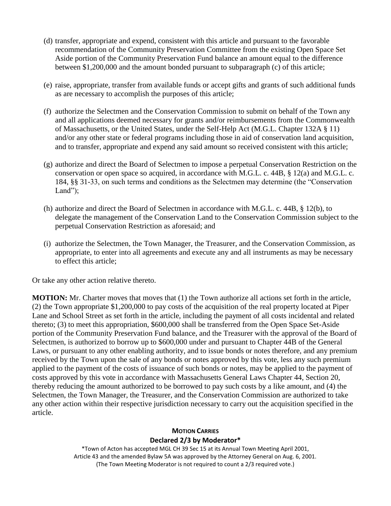- (d) transfer, appropriate and expend, consistent with this article and pursuant to the favorable recommendation of the Community Preservation Committee from the existing Open Space Set Aside portion of the Community Preservation Fund balance an amount equal to the difference between \$1,200,000 and the amount bonded pursuant to subparagraph (c) of this article;
- (e) raise, appropriate, transfer from available funds or accept gifts and grants of such additional funds as are necessary to accomplish the purposes of this article;
- (f) authorize the Selectmen and the Conservation Commission to submit on behalf of the Town any and all applications deemed necessary for grants and/or reimbursements from the Commonwealth of Massachusetts, or the United States, under the Self-Help Act (M.G.L. Chapter 132A § 11) and/or any other state or federal programs including those in aid of conservation land acquisition, and to transfer, appropriate and expend any said amount so received consistent with this article;
- (g) authorize and direct the Board of Selectmen to impose a perpetual Conservation Restriction on the conservation or open space so acquired, in accordance with M.G.L. c. 44B, § 12(a) and M.G.L. c. 184, §§ 31-33, on such terms and conditions as the Selectmen may determine (the "Conservation Land");
- (h) authorize and direct the Board of Selectmen in accordance with M.G.L. c. 44B, § 12(b), to delegate the management of the Conservation Land to the Conservation Commission subject to the perpetual Conservation Restriction as aforesaid; and
- (i) authorize the Selectmen, the Town Manager, the Treasurer, and the Conservation Commission, as appropriate, to enter into all agreements and execute any and all instruments as may be necessary to effect this article;

Or take any other action relative thereto.

**MOTION:** Mr. Charter moves that moves that (1) the Town authorize all actions set forth in the article, (2) the Town appropriate \$1,200,000 to pay costs of the acquisition of the real property located at Piper Lane and School Street as set forth in the article, including the payment of all costs incidental and related thereto; (3) to meet this appropriation, \$600,000 shall be transferred from the Open Space Set-Aside portion of the Community Preservation Fund balance, and the Treasurer with the approval of the Board of Selectmen, is authorized to borrow up to \$600,000 under and pursuant to Chapter 44B of the General Laws, or pursuant to any other enabling authority, and to issue bonds or notes therefore, and any premium received by the Town upon the sale of any bonds or notes approved by this vote, less any such premium applied to the payment of the costs of issuance of such bonds or notes, may be applied to the payment of costs approved by this vote in accordance with Massachusetts General Laws Chapter 44, Section 20, thereby reducing the amount authorized to be borrowed to pay such costs by a like amount, and (4) the Selectmen, the Town Manager, the Treasurer, and the Conservation Commission are authorized to take any other action within their respective jurisdiction necessary to carry out the acquisition specified in the article.

# **MOTION CARRIES Declared 2/3 by Moderator\***

\*Town of Acton has accepted MGL CH 39 Sec 15 at its Annual Town Meeting April 2001, Article 43 and the amended Bylaw 5A was approved by the Attorney General on Aug. 6, 2001. (The Town Meeting Moderator is not required to count a 2/3 required vote.)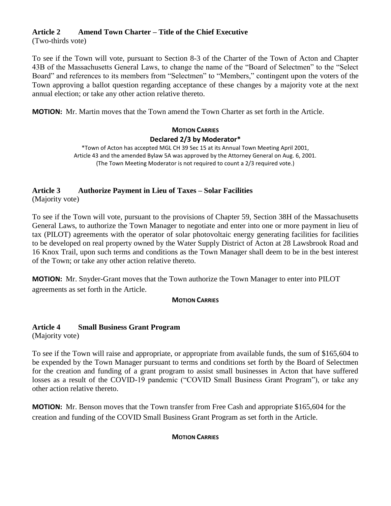# **Article 2 Amend Town Charter – Title of the Chief Executive**

(Two-thirds vote)

To see if the Town will vote, pursuant to Section 8-3 of the Charter of the Town of Acton and Chapter 43B of the Massachusetts General Laws, to change the name of the "Board of Selectmen" to the "Select Board" and references to its members from "Selectmen" to "Members," contingent upon the voters of the Town approving a ballot question regarding acceptance of these changes by a majority vote at the next annual election; or take any other action relative thereto.

**MOTION:** Mr. Martin moves that the Town amend the Town Charter as set forth in the Article.

# **MOTION CARRIES Declared 2/3 by Moderator\***

\*Town of Acton has accepted MGL CH 39 Sec 15 at its Annual Town Meeting April 2001, Article 43 and the amended Bylaw 5A was approved by the Attorney General on Aug. 6, 2001. (The Town Meeting Moderator is not required to count a 2/3 required vote.)

# **Article 3 Authorize Payment in Lieu of Taxes – Solar Facilities**

(Majority vote)

To see if the Town will vote, pursuant to the provisions of Chapter 59, Section 38H of the Massachusetts General Laws, to authorize the Town Manager to negotiate and enter into one or more payment in lieu of tax (PILOT) agreements with the operator of solar photovoltaic energy generating facilities for facilities to be developed on real property owned by the Water Supply District of Acton at 28 Lawsbrook Road and 16 Knox Trail, upon such terms and conditions as the Town Manager shall deem to be in the best interest of the Town; or take any other action relative thereto.

**MOTION:** Mr. Snyder-Grant moves that the Town authorize the Town Manager to enter into PILOT agreements as set forth in the Article.

# **MOTION CARRIES**

# **Article 4 Small Business Grant Program**

(Majority vote)

To see if the Town will raise and appropriate, or appropriate from available funds, the sum of \$165,604 to be expended by the Town Manager pursuant to terms and conditions set forth by the Board of Selectmen for the creation and funding of a grant program to assist small businesses in Acton that have suffered losses as a result of the COVID-19 pandemic ("COVID Small Business Grant Program"), or take any other action relative thereto.

**MOTION:** Mr. Benson moves that the Town transfer from Free Cash and appropriate \$165,604 for the creation and funding of the COVID Small Business Grant Program as set forth in the Article.

# **MOTION CARRIES**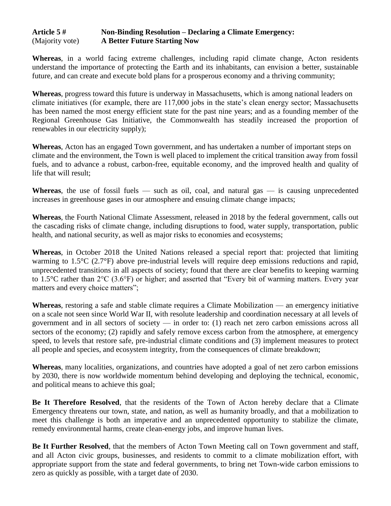# **Article 5 # Non-Binding Resolution – Declaring a Climate Emergency:** (Majority vote) **A Better Future Starting Now**

**Whereas**, in a world facing extreme challenges, including rapid climate change, Acton residents understand the importance of protecting the Earth and its inhabitants, can envision a better, sustainable future, and can create and execute bold plans for a prosperous economy and a thriving community;

**Whereas**, progress toward this future is underway in Massachusetts, which is among national leaders on climate initiatives (for example, there are 117,000 jobs in the state's clean energy sector; Massachusetts has been named the most energy efficient state for the past nine years; and as a founding member of the Regional Greenhouse Gas Initiative, the Commonwealth has steadily increased the proportion of renewables in our electricity supply);

**Whereas**, Acton has an engaged Town government, and has undertaken a number of important steps on climate and the environment, the Town is well placed to implement the critical transition away from fossil fuels, and to advance a robust, carbon-free, equitable economy, and the improved health and quality of life that will result;

**Whereas**, the use of fossil fuels — such as oil, coal, and natural gas — is causing unprecedented increases in greenhouse gases in our atmosphere and ensuing climate change impacts;

**Whereas**, the Fourth National Climate Assessment, released in 2018 by the federal government, calls out the cascading risks of climate change, including disruptions to food, water supply, transportation, public health, and national security, as well as major risks to economies and ecosystems;

**Whereas**, in October 2018 the United Nations released a special report that: projected that limiting warming to 1.5°C (2.7°F) above pre-industrial levels will require deep emissions reductions and rapid, unprecedented transitions in all aspects of society; found that there are clear benefits to keeping warming to 1.5°C rather than 2°C (3.6°F) or higher; and asserted that "Every bit of warming matters. Every year matters and every choice matters";

**Whereas**, restoring a safe and stable climate requires a Climate Mobilization — an emergency initiative on a scale not seen since World War II, with resolute leadership and coordination necessary at all levels of government and in all sectors of society — in order to: (1) reach net zero carbon emissions across all sectors of the economy; (2) rapidly and safely remove excess carbon from the atmosphere, at emergency speed, to levels that restore safe, pre-industrial climate conditions and (3) implement measures to protect all people and species, and ecosystem integrity, from the consequences of climate breakdown;

**Whereas**, many localities, organizations, and countries have adopted a goal of net zero carbon emissions by 2030, there is now worldwide momentum behind developing and deploying the technical, economic, and political means to achieve this goal;

**Be It Therefore Resolved**, that the residents of the Town of Acton hereby declare that a Climate Emergency threatens our town, state, and nation, as well as humanity broadly, and that a mobilization to meet this challenge is both an imperative and an unprecedented opportunity to stabilize the climate, remedy environmental harms, create clean-energy jobs, and improve human lives.

**Be It Further Resolved**, that the members of Acton Town Meeting call on Town government and staff, and all Acton civic groups, businesses, and residents to commit to a climate mobilization effort, with appropriate support from the state and federal governments, to bring net Town-wide carbon emissions to zero as quickly as possible, with a target date of 2030.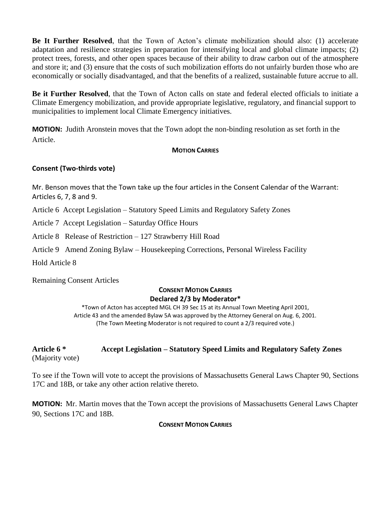**Be It Further Resolved**, that the Town of Acton's climate mobilization should also: (1) accelerate adaptation and resilience strategies in preparation for intensifying local and global climate impacts; (2) protect trees, forests, and other open spaces because of their ability to draw carbon out of the atmosphere and store it; and (3) ensure that the costs of such mobilization efforts do not unfairly burden those who are economically or socially disadvantaged, and that the benefits of a realized, sustainable future accrue to all.

**Be it Further Resolved**, that the Town of Acton calls on state and federal elected officials to initiate a Climate Emergency mobilization, and provide appropriate legislative, regulatory, and financial support to municipalities to implement local Climate Emergency initiatives.

**MOTION:** Judith Aronstein moves that the Town adopt the non-binding resolution as set forth in the Article.

#### **MOTION CARRIES**

# **Consent (Two-thirds vote)**

Mr. Benson moves that the Town take up the four articles in the Consent Calendar of the Warrant: Articles 6, 7, 8 and 9.

Article 6 Accept Legislation – Statutory Speed Limits and Regulatory Safety Zones

Article 7 Accept Legislation – Saturday Office Hours

Article 8 Release of Restriction – 127 Strawberry Hill Road

Article 9 Amend Zoning Bylaw – Housekeeping Corrections, Personal Wireless Facility

Hold Article 8

Remaining Consent Articles

# **CONSENT MOTION CARRIES Declared 2/3 by Moderator\***

\*Town of Acton has accepted MGL CH 39 Sec 15 at its Annual Town Meeting April 2001, Article 43 and the amended Bylaw 5A was approved by the Attorney General on Aug. 6, 2001. (The Town Meeting Moderator is not required to count a 2/3 required vote.)

# **Article 6 \* Accept Legislation – Statutory Speed Limits and Regulatory Safety Zones** (Majority vote)

To see if the Town will vote to accept the provisions of Massachusetts General Laws Chapter 90, Sections 17C and 18B, or take any other action relative thereto.

**MOTION:** Mr. Martin moves that the Town accept the provisions of Massachusetts General Laws Chapter 90, Sections 17C and 18B.

#### **CONSENT MOTION CARRIES**